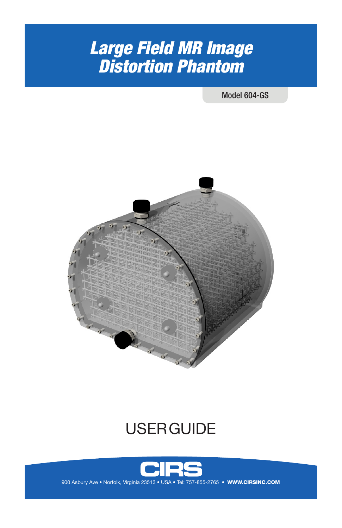# *Large Field MR Image Distortion Phantom*

Model 604-GS



# **USER GUIDE**



900 Asbury Ave . Norfolk, Virginia 23513 . USA . Tel: 757-855-2765 . WWW.CIRSINC.COM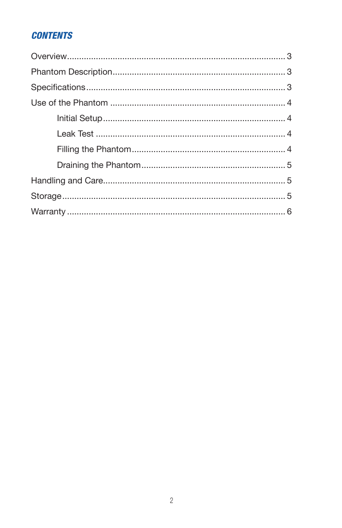# **CONTENTS**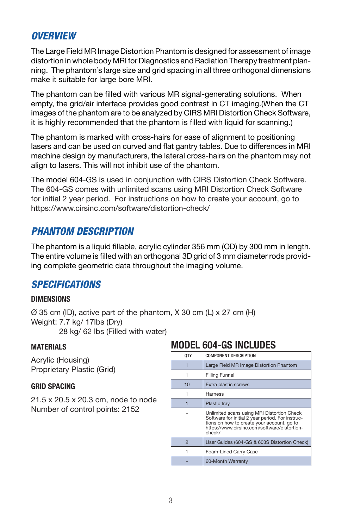## *OVERVIEW*

The Large Field MR Image Distortion Phantom is designed for assessment of image distortion in whole body MRI for Diagnostics and Radiation Therapy treatment planning. The phantom's large size and grid spacing in all three orthogonal dimensions make it suitable for large bore MRI.

The phantom can be filled with various MR signal-generating solutions. When empty, the grid/air interface provides good contrast in CT imaging.(When the CT images of the phantom are to be analyzed by CIRS MRI Distortion Check Software, it is highly recommended that the phantom is filled with liquid for scanning.)

The phantom is marked with cross-hairs for ease of alignment to positioning lasers and can be used on curved and flat gantry tables. Due to differences in MRI machine design by manufacturers, the lateral cross-hairs on the phantom may not align to lasers. This will not inhibit use of the phantom.

The model 604-GS is used in conjunction with CIRS Distortion Check Software. The 604-GS comes with unlimited scans using MRI Distortion Check Software for initial 2 year period. For instructions on how to create your account, go to https://www.cirsinc.com/software/distortion-check/

## *PHANTOM DESCRIPTION*

The phantom is a liquid fillable, acrylic cylinder 356 mm (OD) by 300 mm in length. The entire volume is filled with an orthogonal 3D grid of 3 mm diameter rods providing complete geometric data throughout the imaging volume.

## *SPECIFICATIONS*

## **DIMENSIONS**

 $\varnothing$  35 cm (ID), active part of the phantom, X 30 cm (L) x 27 cm (H) Weight: 7.7 kg/ 17lbs (Dry) 28 kg/ 62 lbs (Filled with water)

### **MATERIALS**

Acrylic (Housing) Proprietary Plastic (Grid)

### **GRID SPACING**

21.5 x 20.5 x 20.3 cm, node to node Number of control points: 2152

# **MODEL 604-GS INCLUDES**

| 0TY            | <b>COMPONENT DESCRIPTION</b>                                                                                                                                                                           |
|----------------|--------------------------------------------------------------------------------------------------------------------------------------------------------------------------------------------------------|
|                | Large Field MR Image Distortion Phantom                                                                                                                                                                |
|                | <b>Filling Funnel</b>                                                                                                                                                                                  |
| 10             | Extra plastic screws                                                                                                                                                                                   |
|                | Harness                                                                                                                                                                                                |
|                | <b>Plastic tray</b>                                                                                                                                                                                    |
|                | Unlimited scans using MRI Distortion Check<br>Software for initial 2 year period. For instruc-<br>tions on how to create your account, go to<br>https://www.cirsinc.com/software/distortion-<br>check/ |
| $\overline{2}$ | User Guides (604-GS & 603S Distortion Check)                                                                                                                                                           |
|                | Foam-Lined Carry Case                                                                                                                                                                                  |
|                | 60-Month Warranty                                                                                                                                                                                      |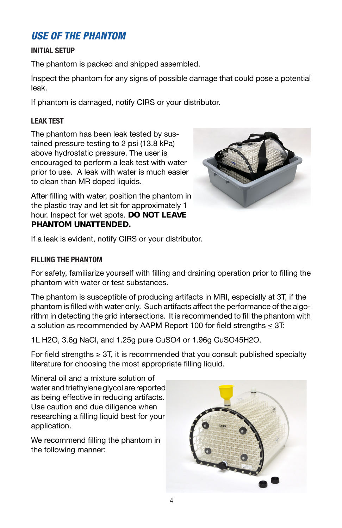# *USE OF THE PHANTOM*

## **INITIAL SETUP**

The phantom is packed and shipped assembled.

Inspect the phantom for any signs of possible damage that could pose a potential leak.

If phantom is damaged, notify CIRS or your distributor.

## **LEAK TEST**

The phantom has been leak tested by sustained pressure testing to 2 psi (13.8 kPa) above hydrostatic pressure. The user is encouraged to perform a leak test with water prior to use. A leak with water is much easier to clean than MR doped liquids.



After filling with water, position the phantom in the plastic tray and let sit for approximately 1 hour. Inspect for wet spots. *DO NOT LEAVE PHANTOM UNATTENDED.*

If a leak is evident, notify CIRS or your distributor.

## **FILLING THE PHANTOM**

For safety, familiarize yourself with filling and draining operation prior to filling the phantom with water or test substances.

The phantom is susceptible of producing artifacts in MRI, especially at 3T, if the phantom is filled with water only. Such artifacts affect the performance of the algorithm in detecting the grid intersections. It is recommended to fill the phantom with a solution as recommended by AAPM Report 100 for field strengths ≤ 3T:

1L H2O, 3.6g NaCl, and 1.25g pure CuSO4 or 1.96g CuSO45H2O.

For field strengths  $\geq$  3T, it is recommended that you consult published specialty literature for choosing the most appropriate filling liquid.

Mineral oil and a mixture solution of water and triethylene glycol are reported as being effective in reducing artifacts. Use caution and due diligence when researching a filling liquid best for your application.

We recommend filling the phantom in the following manner:

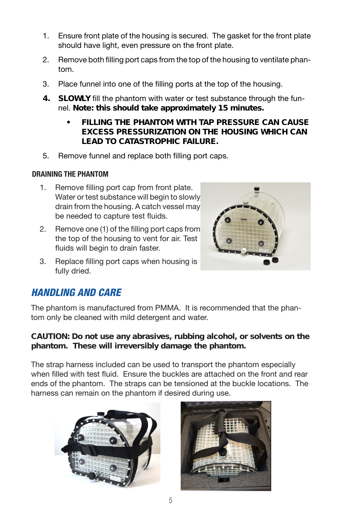- 1. Ensure front plate of the housing is secured. The gasket for the front plate should have light, even pressure on the front plate.
- 2. Remove both filling port caps from the top of the housing to ventilate phantom.
- 3. Place funnel into one of the filling ports at the top of the housing.
- *4. SLOWLY* fill the phantom with water or test substance through the funnel. *Note: this should take approximately 15 minutes.* 
	- *• FILLING THE PHANTOM WITH TAP PRESSURE CAN CAUSE EXCESS PRESSURIZATION ON THE HOUSING WHICH CAN LEAD TO CATASTROPHIC FAILURE.*
- 5. Remove funnel and replace both filling port caps.

## **DRAINING THE PHANTOM**

- 1. Remove filling port cap from front plate. Water or test substance will begin to slowly drain from the housing. A catch vessel may be needed to capture test fluids.
- 2. Remove one (1) of the filling port caps from the top of the housing to vent for air. Test fluids will begin to drain faster.
- 3. Replace filling port caps when housing is fully dried.

## *HANDLING AND CARE*

The phantom is manufactured from PMMA. It is recommended that the phantom only be cleaned with mild detergent and water.

## *CAUTION: Do not use any abrasives, rubbing alcohol, or solvents on the phantom. These will irreversibly damage the phantom.*

The strap harness included can be used to transport the phantom especially when filled with test fluid. Ensure the buckles are attached on the front and rear ends of the phantom. The straps can be tensioned at the buckle locations. The harness can remain on the phantom if desired during use.



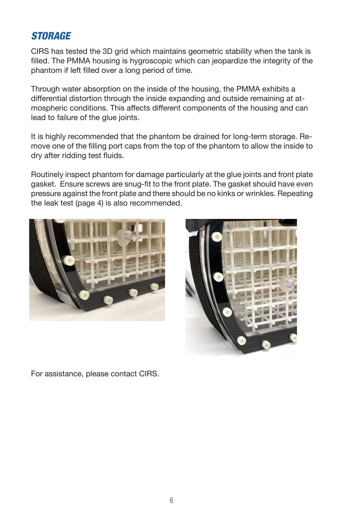# *STORAGE*

CIRS has tested the 3D grid which maintains geometric stability when the tank is filled. The PMMA housing is hygroscopic which can jeopardize the integrity of the phantom if left filled over a long period of time.

Through water absorption on the inside of the housing, the PMMA exhibits a differential distortion through the inside expanding and outside remaining at atmospheric conditions. This affects different components of the housing and can lead to failure of the glue joints.

It is highly recommended that the phantom be drained for long-term storage. Remove one of the filling port caps from the top of the phantom to allow the inside to dry after ridding test fluids.

Routinely inspect phantom for damage particularly at the glue joints and front plate gasket. Ensure screws are snug-fit to the front plate. The gasket should have even pressure against the front plate and there should be no kinks or wrinkles. Repeating the leak test (page 4) is also recommended.





For assistance, please contact CIRS.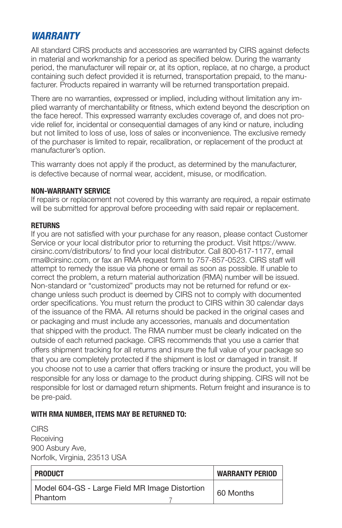# *WARRANTY*

All standard CIRS products and accessories are warranted by CIRS against defects in material and workmanship for a period as specified below. During the warranty period, the manufacturer will repair or, at its option, replace, at no charge, a product containing such defect provided it is returned, transportation prepaid, to the manufacturer. Products repaired in warranty will be returned transportation prepaid.

There are no warranties, expressed or implied, including without limitation any implied warranty of merchantability or fitness, which extend beyond the description on the face hereof. This expressed warranty excludes coverage of, and does not provide relief for, incidental or consequential damages of any kind or nature, including but not limited to loss of use, loss of sales or inconvenience. The exclusive remedy of the purchaser is limited to repair, recalibration, or replacement of the product at manufacturer's option.

This warranty does not apply if the product, as determined by the manufacturer, is defective because of normal wear, accident, misuse, or modification.

#### **NON-WARRANTY SERVICE**

If repairs or replacement not covered by this warranty are required, a repair estimate will be submitted for approval before proceeding with said repair or replacement.

#### **RETURNS**

If you are not satisfied with your purchase for any reason, please contact Customer Service or your local distributor prior to returning the product. Visit https://www. cirsinc.com/distributors/ to find your local distributor. Call 800-617-1177, email rma@cirsinc.com, or fax an RMA request form to 757-857-0523. CIRS staff will attempt to remedy the issue via phone or email as soon as possible. If unable to correct the problem, a return material authorization (RMA) number will be issued. Non-standard or "customized" products may not be returned for refund or exchange unless such product is deemed by CIRS not to comply with documented order specifications. You must return the product to CIRS within 30 calendar days of the issuance of the RMA. All returns should be packed in the original cases and or packaging and must include any accessories, manuals and documentation that shipped with the product. The RMA number must be clearly indicated on the outside of each returned package. CIRS recommends that you use a carrier that offers shipment tracking for all returns and insure the full value of your package so that you are completely protected if the shipment is lost or damaged in transit. If you choose not to use a carrier that offers tracking or insure the product, you will be responsible for any loss or damage to the product during shipping. CIRS will not be responsible for lost or damaged return shipments. Return freight and insurance is to be pre-paid.

### **WITH RMA NUMBER, ITEMS MAY BE RETURNED TO:**

**CIRS Receiving** 900 Asbury Ave, Norfolk, Virginia, 23513 USA

| <b>PRODUCT</b>                                            | <b>WARRANTY PERIOD</b> |
|-----------------------------------------------------------|------------------------|
| Model 604-GS - Large Field MR Image Distortion<br>Phantom | 60 Months              |